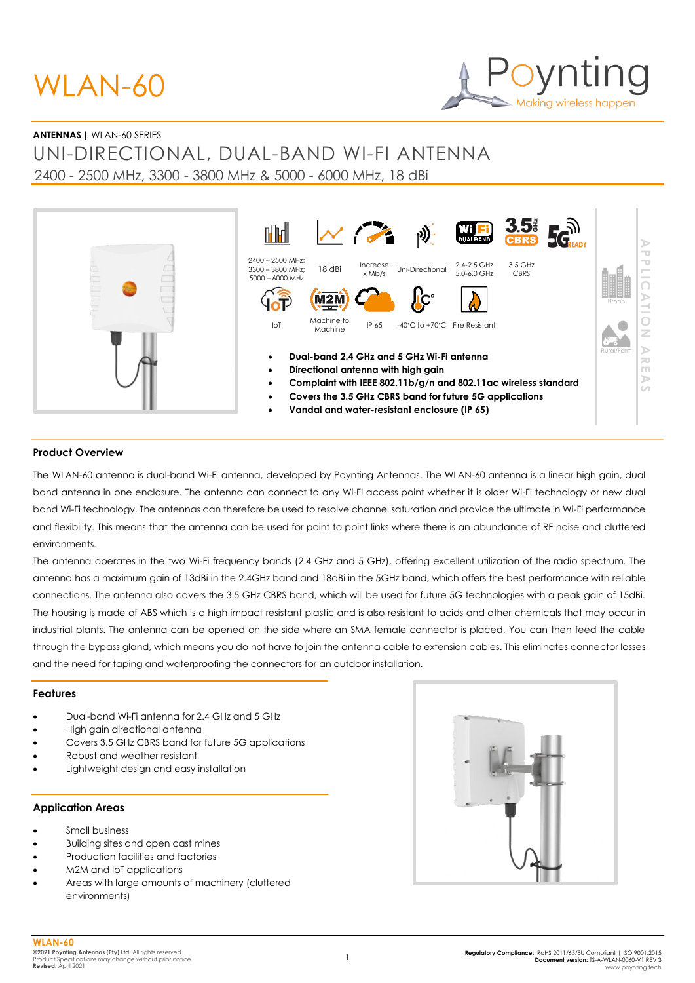# WLAN-60



# **ANTENNAS |** WLAN-60 SERIES

# UNI-DIRECTIONAL, DUAL-BAND WI-FI ANTENNA 2400 - 2500 MHz, 3300 - 3800 MHz & 5000 - 6000 MHz, 18 dBi



#### **Product Overview**

The WLAN-60 antenna is dual-band Wi-Fi antenna, developed by Poynting Antennas. The WLAN-60 antenna is a linear high gain, dual band antenna in one enclosure. The antenna can connect to any Wi-Fi access point whether it is older Wi-Fi technology or new dual band Wi-Fi technology. The antennas can therefore be used to resolve channel saturation and provide the ultimate in Wi-Fi performance and flexibility. This means that the antenna can be used for point to point links where there is an abundance of RF noise and cluttered environments.

The antenna operates in the two Wi-Fi frequency bands (2.4 GHz and 5 GHz), offering excellent utilization of the radio spectrum. The antenna has a maximum gain of 13dBi in the 2.4GHz band and 18dBi in the 5GHz band, which offers the best performance with reliable connections. The antenna also covers the 3.5 GHz CBRS band, which will be used for future 5G technologies with a peak gain of 15dBi. The housing is made of ABS which is a high impact resistant plastic and is also resistant to acids and other chemicals that may occur in industrial plants. The antenna can be opened on the side where an SMA female connector is placed. You can then feed the cable through the bypass gland, which means you do not have to join the antenna cable to extension cables. This eliminates connector losses and the need for taping and waterproofing the connectors for an outdoor installation.

#### **Features**

- Dual-band Wi-Fi antenna for 2.4 GHz and 5 GHz
- High gain directional antenna
- Covers 3.5 GHz CBRS band for future 5G applications
- Robust and weather resistant
- Lightweight design and easy installation

#### **Application Areas**

- Small business
- Building sites and open cast mines
- Production facilities and factories
- M2M and IoT applications
- Areas with large amounts of machinery (cluttered environments)

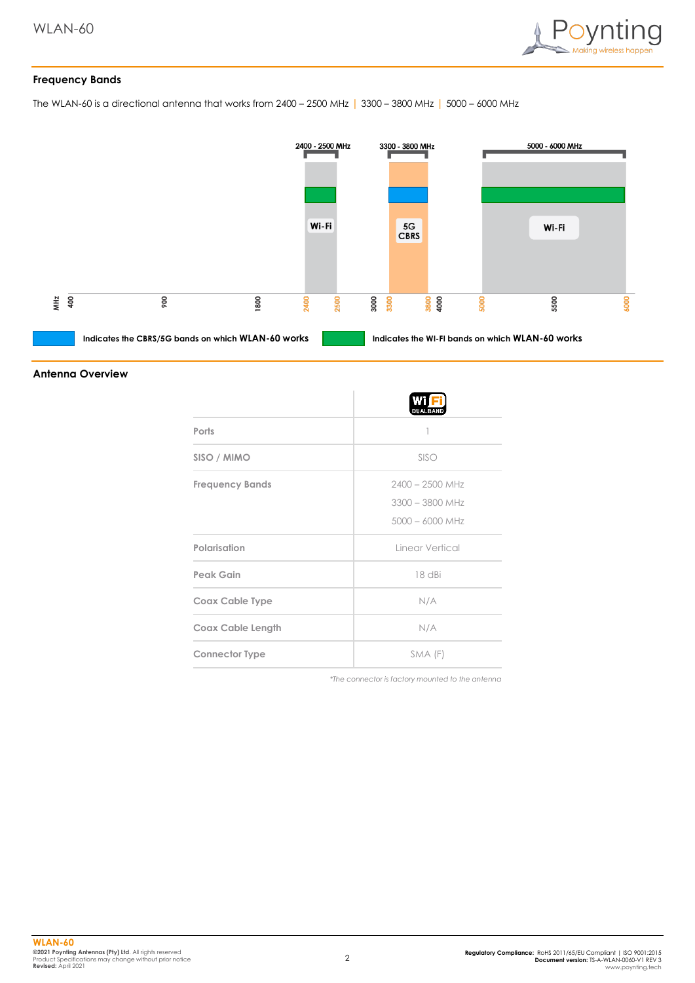

# **Frequency Bands**

The WLAN-60 is a directional antenna that works from 2400 – 2500 MHz | 3300 – 3800 MHz | 5000 – 6000 MHz



#### **Antenna Overview**

|                          | <b>DUALBAND</b>   |
|--------------------------|-------------------|
| Ports                    |                   |
| SISO / MIMO              | SISO              |
| <b>Frequency Bands</b>   | $2400 - 2500$ MHz |
|                          | $3300 - 3800$ MHz |
|                          | $5000 - 6000$ MHz |
| Polarisation             | Linear Vertical   |
| <b>Peak Gain</b>         | 18 dBi            |
| <b>Coax Cable Type</b>   | N/A               |
| <b>Coax Cable Length</b> | N/A               |
| <b>Connector Type</b>    | SMA (F)           |

*\*The connector is factory mounted to the antenna*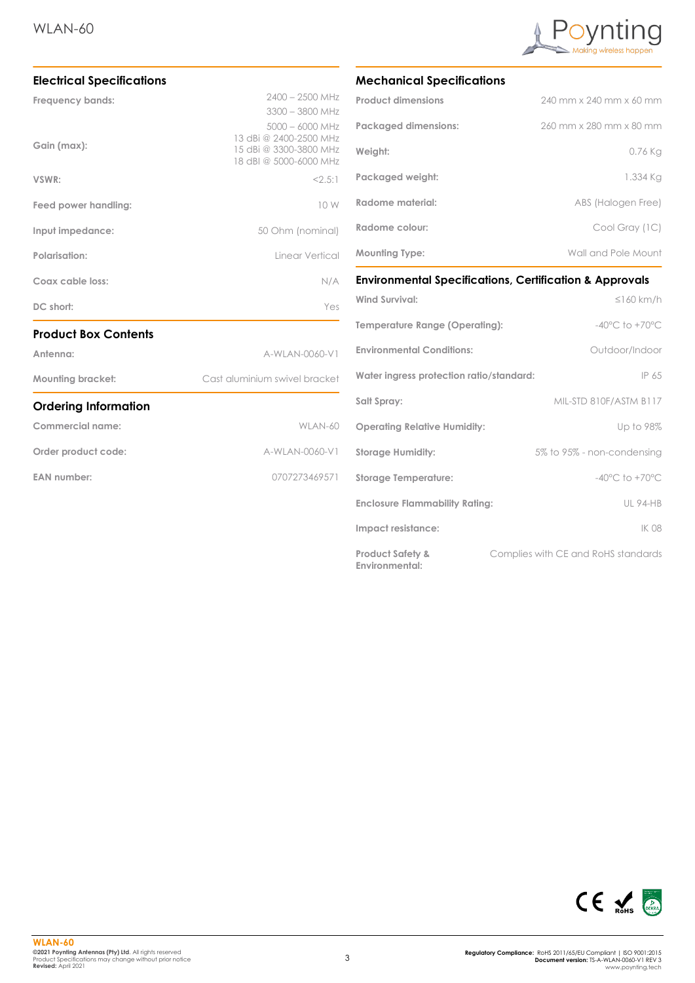

| <b>Electrical Specifications</b>                                                                      |                                                                                                                                                                  |                             |                               |
|-------------------------------------------------------------------------------------------------------|------------------------------------------------------------------------------------------------------------------------------------------------------------------|-----------------------------|-------------------------------|
| Frequency bands:                                                                                      | $2400 - 2500$ MHz                                                                                                                                                |                             |                               |
|                                                                                                       | $3300 - 3800$ MHz                                                                                                                                                |                             |                               |
| Gain (max):<br>VSWR:<br>Feed power handling:<br>Input impedance:<br>Polarisation:<br>Coax cable loss: | $5000 - 6000$ MHz<br>13 dBi @ 2400-2500 MHz<br>15 dBi @ 3300-3800 MHz<br>18 dBI @ 5000-6000 MHz<br>< 2.5:1<br>10 W<br>50 Ohm (nominal)<br>Linear Vertical<br>N/A |                             |                               |
|                                                                                                       |                                                                                                                                                                  | DC short:                   | Yes                           |
|                                                                                                       |                                                                                                                                                                  | <b>Product Box Contents</b> |                               |
|                                                                                                       |                                                                                                                                                                  | Antenna:                    | A-WLAN-0060-V1                |
|                                                                                                       |                                                                                                                                                                  | <b>Mounting bracket:</b>    | Cast aluminium swivel bracket |
|                                                                                                       |                                                                                                                                                                  | <b>Ordering Information</b> |                               |
| Commercial name:                                                                                      | WLAN-60                                                                                                                                                          |                             |                               |
| Order product code:                                                                                   | A-WLAN-0060-V1                                                                                                                                                   |                             |                               |
| <b>EAN number:</b>                                                                                    | 0707273469571                                                                                                                                                    |                             |                               |
|                                                                                                       |                                                                                                                                                                  |                             |                               |

# **Mechanical Specifications**

| <b>Product dimensions</b>   | 240 mm x 240 mm x 60 mm |
|-----------------------------|-------------------------|
| <b>Packaged dimensions:</b> | 260 mm x 280 mm x 80 mm |
| Weight:                     | 0.76 Kg                 |
| Packaged weight:            | 1.334 Kg                |
| Radome material:            | ABS (Halogen Free)      |
| Radome colour:              | Cool Gray (1C)          |
| <b>Mounting Type:</b>       | Wall and Pole Mount     |

**Environmental Specifications, Certification & Approvals**

| <b>Wind Survival:</b>                                | $\leq$ 160 km/h                     |
|------------------------------------------------------|-------------------------------------|
| Temperature Range (Operating):                       | $-40^{\circ}$ C to $+70^{\circ}$ C  |
| <b>Environmental Conditions:</b>                     | Outdoor/Indoor                      |
| Water ingress protection ratio/standard:             | IP 65                               |
| Salt Spray:                                          | MIL-STD 810F/ASTM B117              |
| <b>Operating Relative Humidity:</b>                  | Up to 98%                           |
| <b>Storage Humidity:</b>                             | 5% to 95% - non-condensing          |
| <b>Storage Temperature:</b>                          | $-40^{\circ}$ C to $+70^{\circ}$ C  |
| <b>Enclosure Flammability Rating:</b>                | <b>UL 94-HB</b>                     |
| Impact resistance:                                   | <b>IK 08</b>                        |
| <b>Product Safety &amp;</b><br><b>Environmental:</b> | Complies with CE and RoHS standards |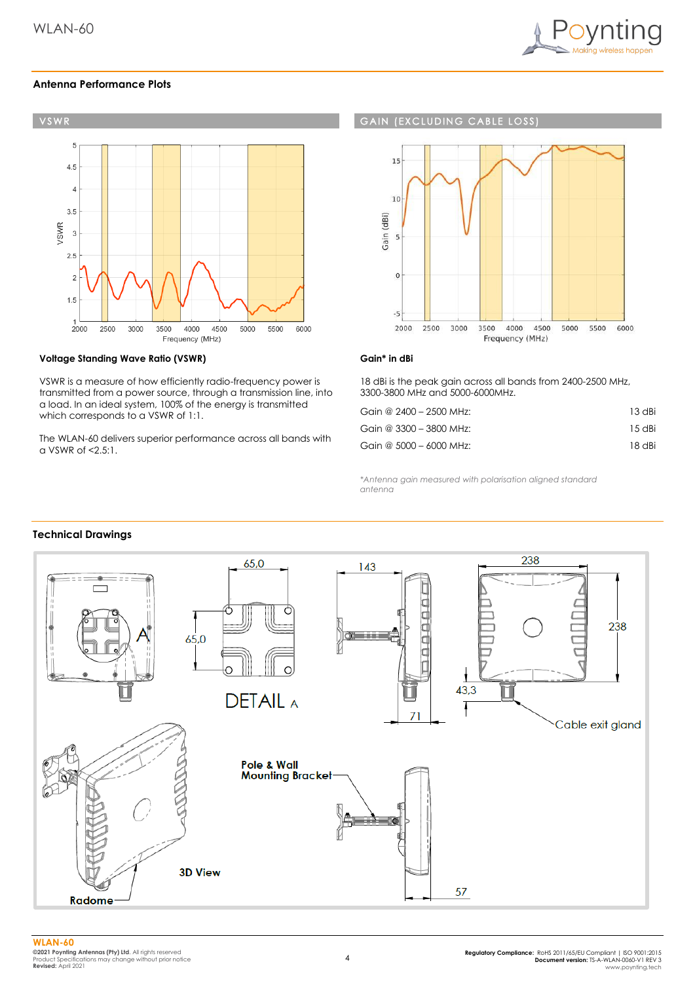

# **Antenna Performance Plots**



#### **Voltage Standing Wave Ratio (VSWR)**

VSWR is a measure of how efficiently radio-frequency power is transmitted from a power source, through a transmission line, into a load. In an ideal system, 100% of the energy is transmitted which corresponds to a VSWR of 1:1.

The WLAN-60 delivers superior performance across all bands with a VSWR of <2.5:1.

#### **GAIN (EXCLUDING CABLE LOSS**



#### **Gain\* in dBi**

18 dBi is the peak gain across all bands from 2400-2500 MHz, 3300-3800 MHz and 5000-6000MHz.

| Gain @ 2400 - 2500 MHz:   | 13 dBi |
|---------------------------|--------|
| Gain @ $3300 - 3800$ MHz: | 15 dBi |
| Gain @ $5000 - 6000$ MHz: | 18 dBi |

*\*Antenna gain measured with polarisation aligned standard antenna*

# **Technical Drawings**

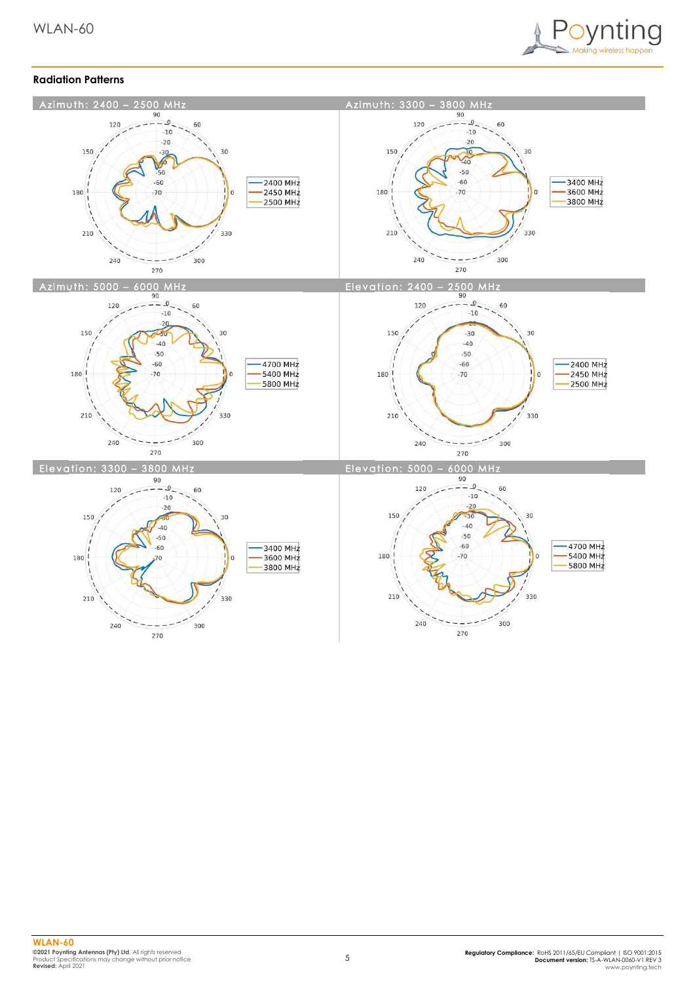

# **Radiation Patterns**

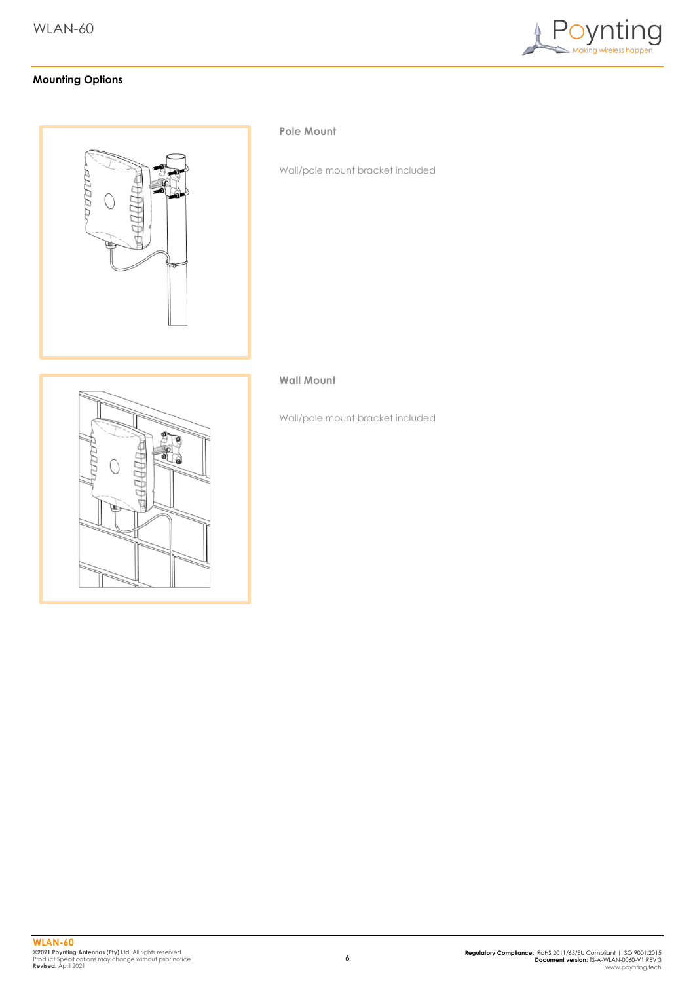

# **Mounting Options**



#### **Pole Mount**

Wall/pole mount bracket included



#### **Wall Mount**

Wall/pole mount bracket included